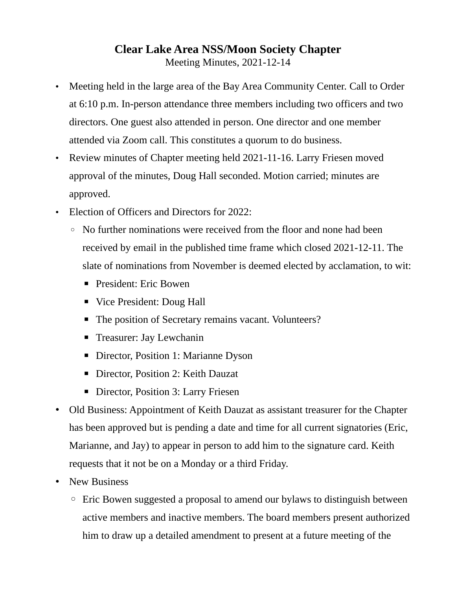## **Clear Lake Area NSS/Moon Society Chapter**

Meeting Minutes, 2021-12-14

- Meeting held in the large area of the Bay Area Community Center. Call to Order at 6:10 p.m. In-person attendance three members including two officers and two directors. One guest also attended in person. One director and one member attended via Zoom call. This constitutes a quorum to do business.
- Review minutes of Chapter meeting held 2021-11-16. Larry Friesen moved approval of the minutes, Doug Hall seconded. Motion carried; minutes are approved.
- Election of Officers and Directors for 2022:
	- No further nominations were received from the floor and none had been received by email in the published time frame which closed 2021-12-11. The slate of nominations from November is deemed elected by acclamation, to wit:
		- **President: Eric Bowen**
		- Vice President: Doug Hall
		- The position of Secretary remains vacant. Volunteers?
		- Treasurer: Jay Lewchanin
		- Director, Position 1: Marianne Dyson
		- Director, Position 2: Keith Dauzat
		- **Director, Position 3: Larry Friesen**
- Old Business: Appointment of Keith Dauzat as assistant treasurer for the Chapter has been approved but is pending a date and time for all current signatories (Eric, Marianne, and Jay) to appear in person to add him to the signature card. Keith requests that it not be on a Monday or a third Friday.
- New Business
	- Eric Bowen suggested a proposal to amend our bylaws to distinguish between active members and inactive members. The board members present authorized him to draw up a detailed amendment to present at a future meeting of the